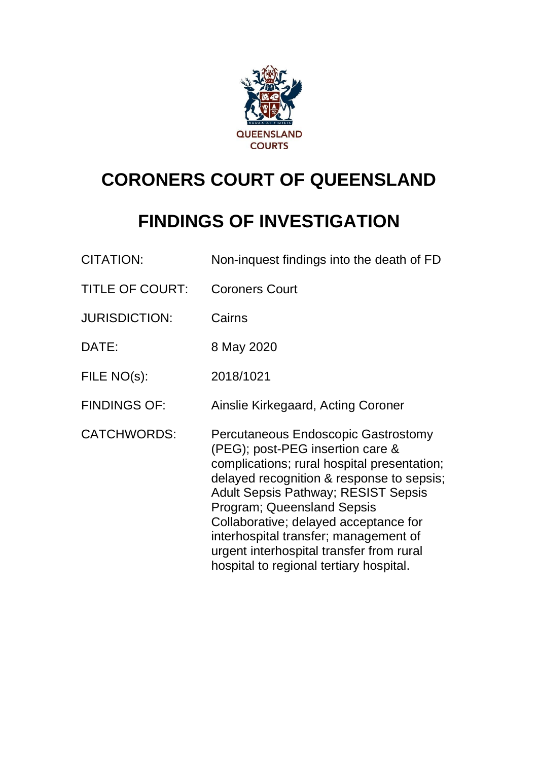

# **CORONERS COURT OF QUEENSLAND**

# **FINDINGS OF INVESTIGATION**

| <b>CITATION:</b>       | Non-inquest findings into the death of FD                                                                                                                                                                                                                                                                                                                                                                                |
|------------------------|--------------------------------------------------------------------------------------------------------------------------------------------------------------------------------------------------------------------------------------------------------------------------------------------------------------------------------------------------------------------------------------------------------------------------|
| <b>TITLE OF COURT:</b> | <b>Coroners Court</b>                                                                                                                                                                                                                                                                                                                                                                                                    |
| <b>JURISDICTION:</b>   | Cairns                                                                                                                                                                                                                                                                                                                                                                                                                   |
| DATE:                  | 8 May 2020                                                                                                                                                                                                                                                                                                                                                                                                               |
| FILE NO(s):            | 2018/1021                                                                                                                                                                                                                                                                                                                                                                                                                |
| <b>FINDINGS OF:</b>    | Ainslie Kirkegaard, Acting Coroner                                                                                                                                                                                                                                                                                                                                                                                       |
| <b>CATCHWORDS:</b>     | Percutaneous Endoscopic Gastrostomy<br>(PEG); post-PEG insertion care &<br>complications; rural hospital presentation;<br>delayed recognition & response to sepsis;<br><b>Adult Sepsis Pathway; RESIST Sepsis</b><br>Program; Queensland Sepsis<br>Collaborative; delayed acceptance for<br>interhospital transfer; management of<br>urgent interhospital transfer from rural<br>hospital to regional tertiary hospital. |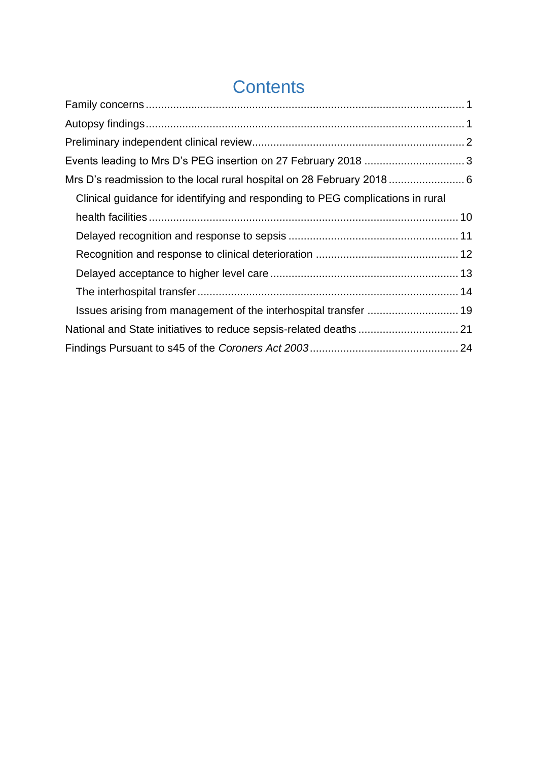## **Contents**

| Clinical guidance for identifying and responding to PEG complications in rural |  |
|--------------------------------------------------------------------------------|--|
|                                                                                |  |
|                                                                                |  |
|                                                                                |  |
|                                                                                |  |
|                                                                                |  |
|                                                                                |  |
|                                                                                |  |
|                                                                                |  |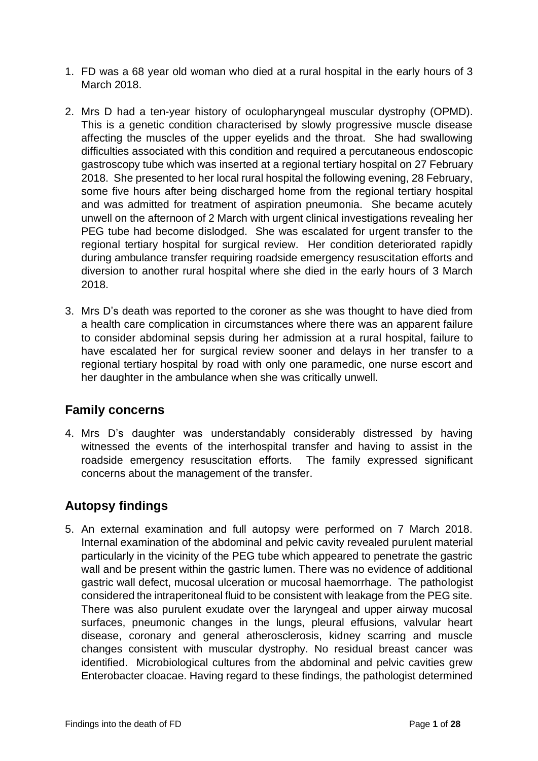- 1. FD was a 68 year old woman who died at a rural hospital in the early hours of 3 March 2018.
- 2. Mrs D had a ten-year history of oculopharyngeal muscular dystrophy (OPMD). This is a genetic condition characterised by slowly progressive muscle disease affecting the muscles of the upper eyelids and the throat. She had swallowing difficulties associated with this condition and required a percutaneous endoscopic gastroscopy tube which was inserted at a regional tertiary hospital on 27 February 2018. She presented to her local rural hospital the following evening, 28 February, some five hours after being discharged home from the regional tertiary hospital and was admitted for treatment of aspiration pneumonia. She became acutely unwell on the afternoon of 2 March with urgent clinical investigations revealing her PEG tube had become dislodged. She was escalated for urgent transfer to the regional tertiary hospital for surgical review. Her condition deteriorated rapidly during ambulance transfer requiring roadside emergency resuscitation efforts and diversion to another rural hospital where she died in the early hours of 3 March 2018.
- 3. Mrs D's death was reported to the coroner as she was thought to have died from a health care complication in circumstances where there was an apparent failure to consider abdominal sepsis during her admission at a rural hospital, failure to have escalated her for surgical review sooner and delays in her transfer to a regional tertiary hospital by road with only one paramedic, one nurse escort and her daughter in the ambulance when she was critically unwell.

### <span id="page-2-0"></span>**Family concerns**

4. Mrs D's daughter was understandably considerably distressed by having witnessed the events of the interhospital transfer and having to assist in the roadside emergency resuscitation efforts. The family expressed significant concerns about the management of the transfer.

## <span id="page-2-1"></span>**Autopsy findings**

5. An external examination and full autopsy were performed on 7 March 2018. Internal examination of the abdominal and pelvic cavity revealed purulent material particularly in the vicinity of the PEG tube which appeared to penetrate the gastric wall and be present within the gastric lumen. There was no evidence of additional gastric wall defect, mucosal ulceration or mucosal haemorrhage. The pathologist considered the intraperitoneal fluid to be consistent with leakage from the PEG site. There was also purulent exudate over the laryngeal and upper airway mucosal surfaces, pneumonic changes in the lungs, pleural effusions, valvular heart disease, coronary and general atherosclerosis, kidney scarring and muscle changes consistent with muscular dystrophy. No residual breast cancer was identified. Microbiological cultures from the abdominal and pelvic cavities grew Enterobacter cloacae. Having regard to these findings, the pathologist determined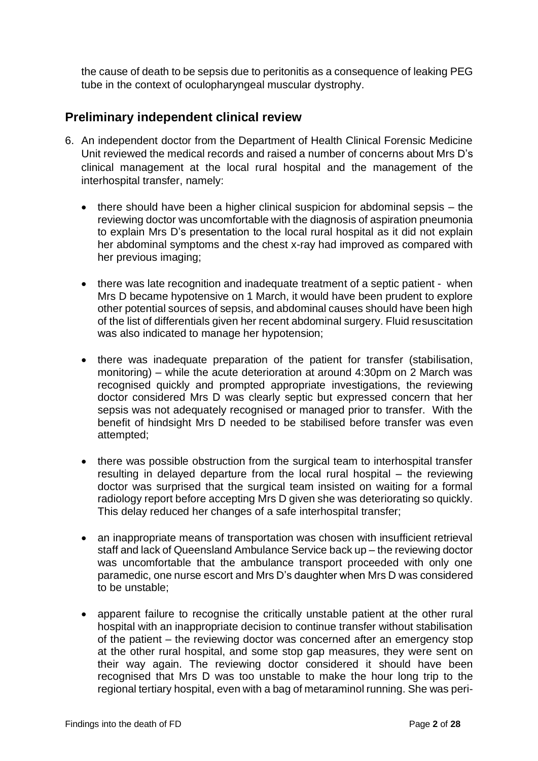the cause of death to be sepsis due to peritonitis as a consequence of leaking PEG tube in the context of oculopharyngeal muscular dystrophy.

### <span id="page-3-0"></span>**Preliminary independent clinical review**

- 6. An independent doctor from the Department of Health Clinical Forensic Medicine Unit reviewed the medical records and raised a number of concerns about Mrs D's clinical management at the local rural hospital and the management of the interhospital transfer, namely:
	- there should have been a higher clinical suspicion for abdominal sepsis the reviewing doctor was uncomfortable with the diagnosis of aspiration pneumonia to explain Mrs D's presentation to the local rural hospital as it did not explain her abdominal symptoms and the chest x-ray had improved as compared with her previous imaging;
	- there was late recognition and inadequate treatment of a septic patient when Mrs D became hypotensive on 1 March, it would have been prudent to explore other potential sources of sepsis, and abdominal causes should have been high of the list of differentials given her recent abdominal surgery. Fluid resuscitation was also indicated to manage her hypotension;
	- there was inadequate preparation of the patient for transfer (stabilisation, monitoring) – while the acute deterioration at around 4:30pm on 2 March was recognised quickly and prompted appropriate investigations, the reviewing doctor considered Mrs D was clearly septic but expressed concern that her sepsis was not adequately recognised or managed prior to transfer. With the benefit of hindsight Mrs D needed to be stabilised before transfer was even attempted;
	- there was possible obstruction from the surgical team to interhospital transfer resulting in delayed departure from the local rural hospital – the reviewing doctor was surprised that the surgical team insisted on waiting for a formal radiology report before accepting Mrs D given she was deteriorating so quickly. This delay reduced her changes of a safe interhospital transfer;
	- an inappropriate means of transportation was chosen with insufficient retrieval staff and lack of Queensland Ambulance Service back up – the reviewing doctor was uncomfortable that the ambulance transport proceeded with only one paramedic, one nurse escort and Mrs D's daughter when Mrs D was considered to be unstable;
	- apparent failure to recognise the critically unstable patient at the other rural hospital with an inappropriate decision to continue transfer without stabilisation of the patient – the reviewing doctor was concerned after an emergency stop at the other rural hospital, and some stop gap measures, they were sent on their way again. The reviewing doctor considered it should have been recognised that Mrs D was too unstable to make the hour long trip to the regional tertiary hospital, even with a bag of metaraminol running. She was peri-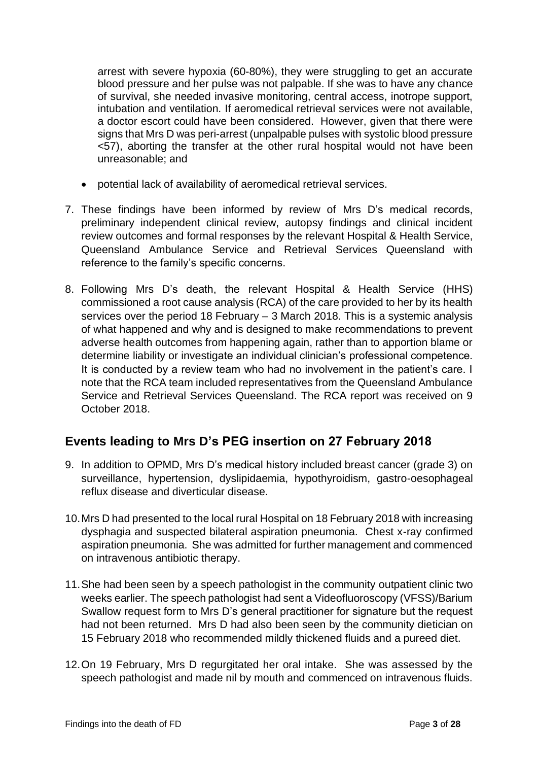arrest with severe hypoxia (60-80%), they were struggling to get an accurate blood pressure and her pulse was not palpable. If she was to have any chance of survival, she needed invasive monitoring, central access, inotrope support, intubation and ventilation. If aeromedical retrieval services were not available, a doctor escort could have been considered. However, given that there were signs that Mrs D was peri-arrest (unpalpable pulses with systolic blood pressure <57), aborting the transfer at the other rural hospital would not have been unreasonable; and

- potential lack of availability of aeromedical retrieval services.
- 7. These findings have been informed by review of Mrs D's medical records, preliminary independent clinical review, autopsy findings and clinical incident review outcomes and formal responses by the relevant Hospital & Health Service, Queensland Ambulance Service and Retrieval Services Queensland with reference to the family's specific concerns.
- 8. Following Mrs D's death, the relevant Hospital & Health Service (HHS) commissioned a root cause analysis (RCA) of the care provided to her by its health services over the period 18 February – 3 March 2018. This is a systemic analysis of what happened and why and is designed to make recommendations to prevent adverse health outcomes from happening again, rather than to apportion blame or determine liability or investigate an individual clinician's professional competence. It is conducted by a review team who had no involvement in the patient's care. I note that the RCA team included representatives from the Queensland Ambulance Service and Retrieval Services Queensland. The RCA report was received on 9 October 2018.

## <span id="page-4-0"></span>**Events leading to Mrs D's PEG insertion on 27 February 2018**

- 9. In addition to OPMD, Mrs D's medical history included breast cancer (grade 3) on surveillance, hypertension, dyslipidaemia, hypothyroidism, gastro-oesophageal reflux disease and diverticular disease.
- 10.Mrs D had presented to the local rural Hospital on 18 February 2018 with increasing dysphagia and suspected bilateral aspiration pneumonia. Chest x-ray confirmed aspiration pneumonia. She was admitted for further management and commenced on intravenous antibiotic therapy.
- 11.She had been seen by a speech pathologist in the community outpatient clinic two weeks earlier. The speech pathologist had sent a Videofluoroscopy (VFSS)/Barium Swallow request form to Mrs D's general practitioner for signature but the request had not been returned. Mrs D had also been seen by the community dietician on 15 February 2018 who recommended mildly thickened fluids and a pureed diet.
- 12.On 19 February, Mrs D regurgitated her oral intake. She was assessed by the speech pathologist and made nil by mouth and commenced on intravenous fluids.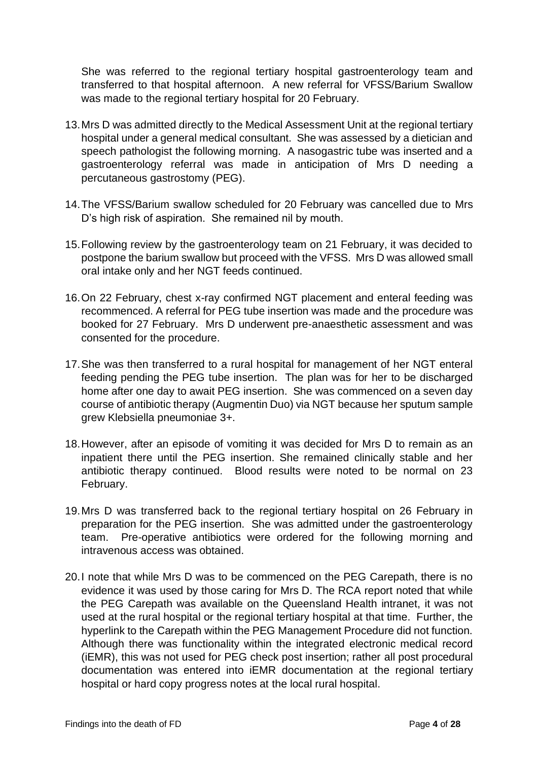She was referred to the regional tertiary hospital gastroenterology team and transferred to that hospital afternoon. A new referral for VFSS/Barium Swallow was made to the regional tertiary hospital for 20 February.

- 13.Mrs D was admitted directly to the Medical Assessment Unit at the regional tertiary hospital under a general medical consultant. She was assessed by a dietician and speech pathologist the following morning. A nasogastric tube was inserted and a gastroenterology referral was made in anticipation of Mrs D needing a percutaneous gastrostomy (PEG).
- 14.The VFSS/Barium swallow scheduled for 20 February was cancelled due to Mrs D's high risk of aspiration. She remained nil by mouth.
- 15.Following review by the gastroenterology team on 21 February, it was decided to postpone the barium swallow but proceed with the VFSS. Mrs D was allowed small oral intake only and her NGT feeds continued.
- 16.On 22 February, chest x-ray confirmed NGT placement and enteral feeding was recommenced. A referral for PEG tube insertion was made and the procedure was booked for 27 February. Mrs D underwent pre-anaesthetic assessment and was consented for the procedure.
- 17.She was then transferred to a rural hospital for management of her NGT enteral feeding pending the PEG tube insertion. The plan was for her to be discharged home after one day to await PEG insertion. She was commenced on a seven day course of antibiotic therapy (Augmentin Duo) via NGT because her sputum sample grew Klebsiella pneumoniae 3+.
- 18.However, after an episode of vomiting it was decided for Mrs D to remain as an inpatient there until the PEG insertion. She remained clinically stable and her antibiotic therapy continued. Blood results were noted to be normal on 23 February.
- 19.Mrs D was transferred back to the regional tertiary hospital on 26 February in preparation for the PEG insertion. She was admitted under the gastroenterology team. Pre-operative antibiotics were ordered for the following morning and intravenous access was obtained.
- 20.I note that while Mrs D was to be commenced on the PEG Carepath, there is no evidence it was used by those caring for Mrs D. The RCA report noted that while the PEG Carepath was available on the Queensland Health intranet, it was not used at the rural hospital or the regional tertiary hospital at that time. Further, the hyperlink to the Carepath within the PEG Management Procedure did not function. Although there was functionality within the integrated electronic medical record (iEMR), this was not used for PEG check post insertion; rather all post procedural documentation was entered into iEMR documentation at the regional tertiary hospital or hard copy progress notes at the local rural hospital.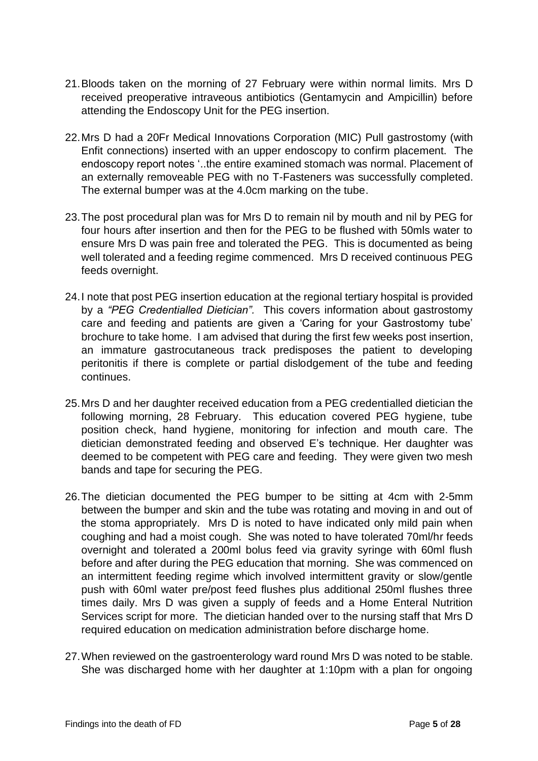- 21.Bloods taken on the morning of 27 February were within normal limits. Mrs D received preoperative intraveous antibiotics (Gentamycin and Ampicillin) before attending the Endoscopy Unit for the PEG insertion.
- 22.Mrs D had a 20Fr Medical Innovations Corporation (MIC) Pull gastrostomy (with Enfit connections) inserted with an upper endoscopy to confirm placement. The endoscopy report notes '..the entire examined stomach was normal. Placement of an externally removeable PEG with no T-Fasteners was successfully completed. The external bumper was at the 4.0cm marking on the tube.
- 23.The post procedural plan was for Mrs D to remain nil by mouth and nil by PEG for four hours after insertion and then for the PEG to be flushed with 50mls water to ensure Mrs D was pain free and tolerated the PEG. This is documented as being well tolerated and a feeding regime commenced. Mrs D received continuous PEG feeds overnight.
- 24.I note that post PEG insertion education at the regional tertiary hospital is provided by a *"PEG Credentialled Dietician".* This covers information about gastrostomy care and feeding and patients are given a 'Caring for your Gastrostomy tube' brochure to take home. I am advised that during the first few weeks post insertion, an immature gastrocutaneous track predisposes the patient to developing peritonitis if there is complete or partial dislodgement of the tube and feeding continues.
- 25.Mrs D and her daughter received education from a PEG credentialled dietician the following morning, 28 February. This education covered PEG hygiene, tube position check, hand hygiene, monitoring for infection and mouth care. The dietician demonstrated feeding and observed E's technique. Her daughter was deemed to be competent with PEG care and feeding. They were given two mesh bands and tape for securing the PEG.
- 26.The dietician documented the PEG bumper to be sitting at 4cm with 2-5mm between the bumper and skin and the tube was rotating and moving in and out of the stoma appropriately. Mrs D is noted to have indicated only mild pain when coughing and had a moist cough. She was noted to have tolerated 70ml/hr feeds overnight and tolerated a 200ml bolus feed via gravity syringe with 60ml flush before and after during the PEG education that morning. She was commenced on an intermittent feeding regime which involved intermittent gravity or slow/gentle push with 60ml water pre/post feed flushes plus additional 250ml flushes three times daily. Mrs D was given a supply of feeds and a Home Enteral Nutrition Services script for more. The dietician handed over to the nursing staff that Mrs D required education on medication administration before discharge home.
- 27.When reviewed on the gastroenterology ward round Mrs D was noted to be stable. She was discharged home with her daughter at 1:10pm with a plan for ongoing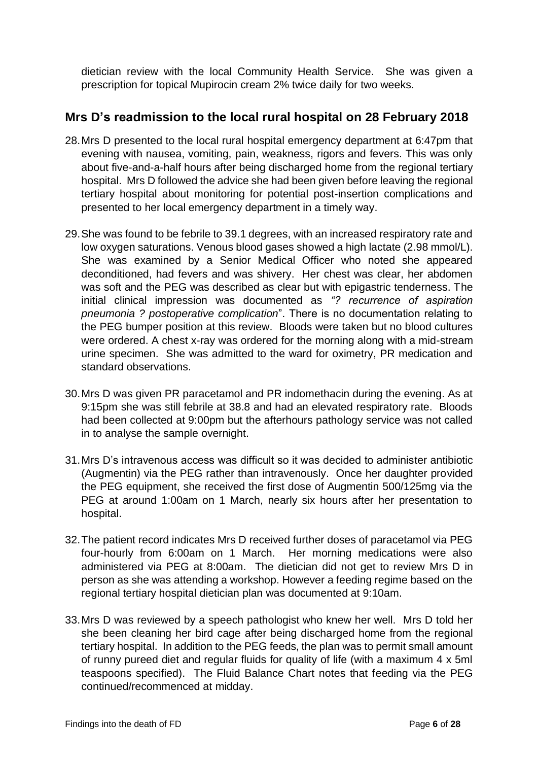dietician review with the local Community Health Service. She was given a prescription for topical Mupirocin cream 2% twice daily for two weeks.

## <span id="page-7-0"></span>**Mrs D's readmission to the local rural hospital on 28 February 2018**

- 28.Mrs D presented to the local rural hospital emergency department at 6:47pm that evening with nausea, vomiting, pain, weakness, rigors and fevers. This was only about five-and-a-half hours after being discharged home from the regional tertiary hospital. Mrs D followed the advice she had been given before leaving the regional tertiary hospital about monitoring for potential post-insertion complications and presented to her local emergency department in a timely way.
- 29.She was found to be febrile to 39.1 degrees, with an increased respiratory rate and low oxygen saturations. Venous blood gases showed a high lactate (2.98 mmol/L). She was examined by a Senior Medical Officer who noted she appeared deconditioned, had fevers and was shivery. Her chest was clear, her abdomen was soft and the PEG was described as clear but with epigastric tenderness. The initial clinical impression was documented as *"? recurrence of aspiration pneumonia ? postoperative complication*". There is no documentation relating to the PEG bumper position at this review. Bloods were taken but no blood cultures were ordered. A chest x-ray was ordered for the morning along with a mid-stream urine specimen. She was admitted to the ward for oximetry, PR medication and standard observations.
- 30.Mrs D was given PR paracetamol and PR indomethacin during the evening. As at 9:15pm she was still febrile at 38.8 and had an elevated respiratory rate. Bloods had been collected at 9:00pm but the afterhours pathology service was not called in to analyse the sample overnight.
- 31.Mrs D's intravenous access was difficult so it was decided to administer antibiotic (Augmentin) via the PEG rather than intravenously. Once her daughter provided the PEG equipment, she received the first dose of Augmentin 500/125mg via the PEG at around 1:00am on 1 March, nearly six hours after her presentation to hospital.
- 32.The patient record indicates Mrs D received further doses of paracetamol via PEG four-hourly from 6:00am on 1 March. Her morning medications were also administered via PEG at 8:00am. The dietician did not get to review Mrs D in person as she was attending a workshop. However a feeding regime based on the regional tertiary hospital dietician plan was documented at 9:10am.
- 33.Mrs D was reviewed by a speech pathologist who knew her well. Mrs D told her she been cleaning her bird cage after being discharged home from the regional tertiary hospital. In addition to the PEG feeds, the plan was to permit small amount of runny pureed diet and regular fluids for quality of life (with a maximum 4 x 5ml teaspoons specified). The Fluid Balance Chart notes that feeding via the PEG continued/recommenced at midday.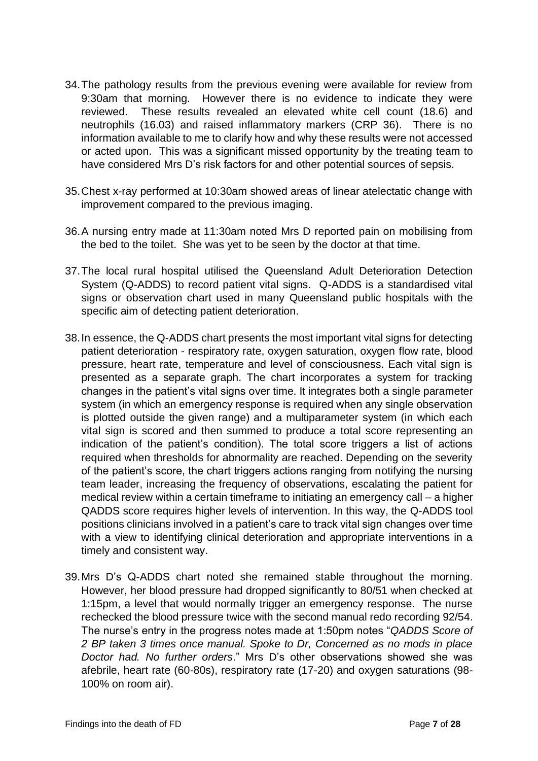- 34.The pathology results from the previous evening were available for review from 9:30am that morning. However there is no evidence to indicate they were reviewed. These results revealed an elevated white cell count (18.6) and neutrophils (16.03) and raised inflammatory markers (CRP 36). There is no information available to me to clarify how and why these results were not accessed or acted upon. This was a significant missed opportunity by the treating team to have considered Mrs D's risk factors for and other potential sources of sepsis.
- 35.Chest x-ray performed at 10:30am showed areas of linear atelectatic change with improvement compared to the previous imaging.
- 36.A nursing entry made at 11:30am noted Mrs D reported pain on mobilising from the bed to the toilet. She was yet to be seen by the doctor at that time.
- 37.The local rural hospital utilised the Queensland Adult Deterioration Detection System (Q-ADDS) to record patient vital signs. Q-ADDS is a standardised vital signs or observation chart used in many Queensland public hospitals with the specific aim of detecting patient deterioration.
- 38.In essence, the Q-ADDS chart presents the most important vital signs for detecting patient deterioration - respiratory rate, oxygen saturation, oxygen flow rate, blood pressure, heart rate, temperature and level of consciousness. Each vital sign is presented as a separate graph. The chart incorporates a system for tracking changes in the patient's vital signs over time. It integrates both a single parameter system (in which an emergency response is required when any single observation is plotted outside the given range) and a multiparameter system (in which each vital sign is scored and then summed to produce a total score representing an indication of the patient's condition). The total score triggers a list of actions required when thresholds for abnormality are reached. Depending on the severity of the patient's score, the chart triggers actions ranging from notifying the nursing team leader, increasing the frequency of observations, escalating the patient for medical review within a certain timeframe to initiating an emergency call – a higher QADDS score requires higher levels of intervention. In this way, the Q-ADDS tool positions clinicians involved in a patient's care to track vital sign changes over time with a view to identifying clinical deterioration and appropriate interventions in a timely and consistent way.
- 39.Mrs D's Q-ADDS chart noted she remained stable throughout the morning. However, her blood pressure had dropped significantly to 80/51 when checked at 1:15pm, a level that would normally trigger an emergency response. The nurse rechecked the blood pressure twice with the second manual redo recording 92/54. The nurse's entry in the progress notes made at 1:50pm notes "*QADDS Score of 2 BP taken 3 times once manual. Spoke to Dr, Concerned as no mods in place Doctor had. No further orders*." Mrs D's other observations showed she was afebrile, heart rate (60-80s), respiratory rate (17-20) and oxygen saturations (98- 100% on room air).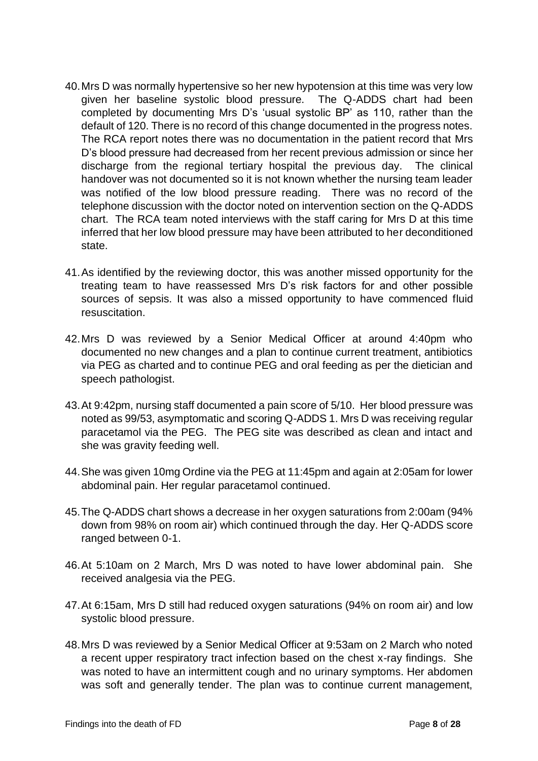- 40.Mrs D was normally hypertensive so her new hypotension at this time was very low given her baseline systolic blood pressure. The Q-ADDS chart had been completed by documenting Mrs D's 'usual systolic BP' as 110, rather than the default of 120. There is no record of this change documented in the progress notes. The RCA report notes there was no documentation in the patient record that Mrs D's blood pressure had decreased from her recent previous admission or since her discharge from the regional tertiary hospital the previous day. The clinical handover was not documented so it is not known whether the nursing team leader was notified of the low blood pressure reading. There was no record of the telephone discussion with the doctor noted on intervention section on the Q-ADDS chart. The RCA team noted interviews with the staff caring for Mrs D at this time inferred that her low blood pressure may have been attributed to her deconditioned state.
- 41.As identified by the reviewing doctor, this was another missed opportunity for the treating team to have reassessed Mrs D's risk factors for and other possible sources of sepsis. It was also a missed opportunity to have commenced fluid resuscitation.
- 42.Mrs D was reviewed by a Senior Medical Officer at around 4:40pm who documented no new changes and a plan to continue current treatment, antibiotics via PEG as charted and to continue PEG and oral feeding as per the dietician and speech pathologist.
- 43.At 9:42pm, nursing staff documented a pain score of 5/10. Her blood pressure was noted as 99/53, asymptomatic and scoring Q-ADDS 1. Mrs D was receiving regular paracetamol via the PEG. The PEG site was described as clean and intact and she was gravity feeding well.
- 44.She was given 10mg Ordine via the PEG at 11:45pm and again at 2:05am for lower abdominal pain. Her regular paracetamol continued.
- 45.The Q-ADDS chart shows a decrease in her oxygen saturations from 2:00am (94% down from 98% on room air) which continued through the day. Her Q-ADDS score ranged between 0-1.
- 46.At 5:10am on 2 March, Mrs D was noted to have lower abdominal pain. She received analgesia via the PEG.
- 47.At 6:15am, Mrs D still had reduced oxygen saturations (94% on room air) and low systolic blood pressure.
- 48.Mrs D was reviewed by a Senior Medical Officer at 9:53am on 2 March who noted a recent upper respiratory tract infection based on the chest x-ray findings. She was noted to have an intermittent cough and no urinary symptoms. Her abdomen was soft and generally tender. The plan was to continue current management,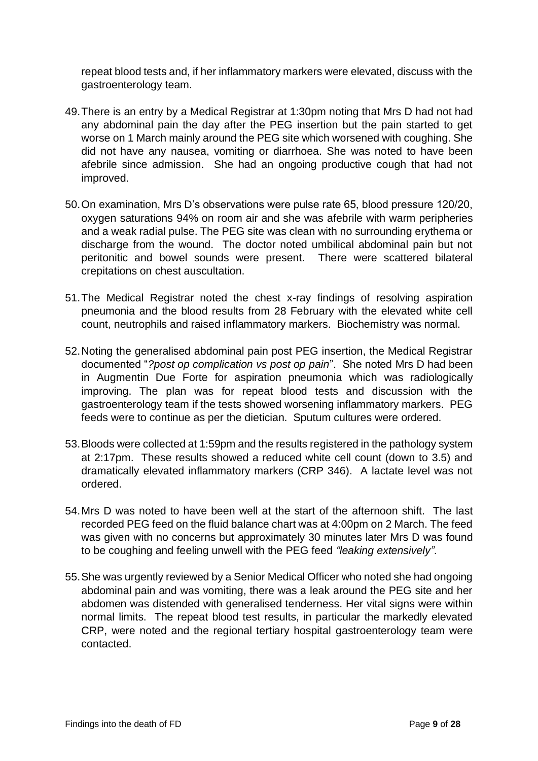repeat blood tests and, if her inflammatory markers were elevated, discuss with the gastroenterology team.

- 49.There is an entry by a Medical Registrar at 1:30pm noting that Mrs D had not had any abdominal pain the day after the PEG insertion but the pain started to get worse on 1 March mainly around the PEG site which worsened with coughing. She did not have any nausea, vomiting or diarrhoea. She was noted to have been afebrile since admission. She had an ongoing productive cough that had not improved.
- 50.On examination, Mrs D's observations were pulse rate 65, blood pressure 120/20, oxygen saturations 94% on room air and she was afebrile with warm peripheries and a weak radial pulse. The PEG site was clean with no surrounding erythema or discharge from the wound. The doctor noted umbilical abdominal pain but not peritonitic and bowel sounds were present. There were scattered bilateral crepitations on chest auscultation.
- 51.The Medical Registrar noted the chest x-ray findings of resolving aspiration pneumonia and the blood results from 28 February with the elevated white cell count, neutrophils and raised inflammatory markers. Biochemistry was normal.
- 52.Noting the generalised abdominal pain post PEG insertion, the Medical Registrar documented "*?post op complication vs post op pain*". She noted Mrs D had been in Augmentin Due Forte for aspiration pneumonia which was radiologically improving. The plan was for repeat blood tests and discussion with the gastroenterology team if the tests showed worsening inflammatory markers. PEG feeds were to continue as per the dietician. Sputum cultures were ordered.
- 53.Bloods were collected at 1:59pm and the results registered in the pathology system at 2:17pm. These results showed a reduced white cell count (down to 3.5) and dramatically elevated inflammatory markers (CRP 346). A lactate level was not ordered.
- 54.Mrs D was noted to have been well at the start of the afternoon shift. The last recorded PEG feed on the fluid balance chart was at 4:00pm on 2 March. The feed was given with no concerns but approximately 30 minutes later Mrs D was found to be coughing and feeling unwell with the PEG feed *"leaking extensively".*
- 55.She was urgently reviewed by a Senior Medical Officer who noted she had ongoing abdominal pain and was vomiting, there was a leak around the PEG site and her abdomen was distended with generalised tenderness. Her vital signs were within normal limits. The repeat blood test results, in particular the markedly elevated CRP, were noted and the regional tertiary hospital gastroenterology team were contacted.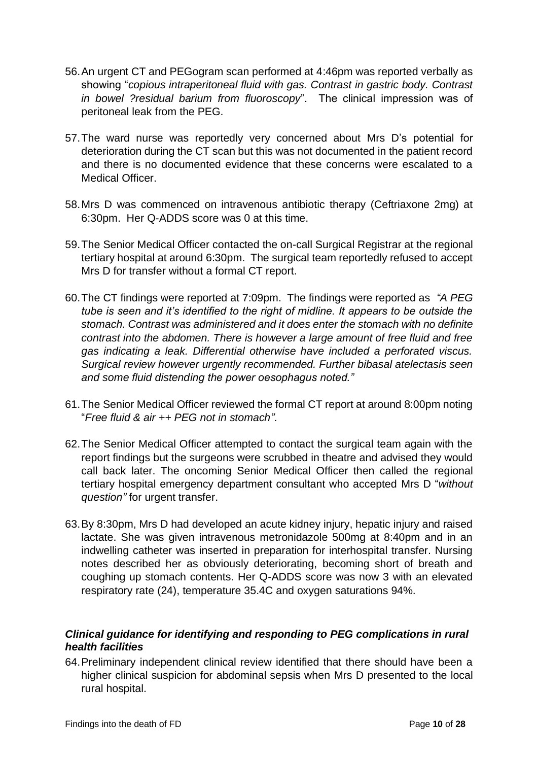- 56.An urgent CT and PEGogram scan performed at 4:46pm was reported verbally as showing "*copious intraperitoneal fluid with gas. Contrast in gastric body. Contrast in bowel ?residual barium from fluoroscopy*". The clinical impression was of peritoneal leak from the PEG.
- 57.The ward nurse was reportedly very concerned about Mrs D's potential for deterioration during the CT scan but this was not documented in the patient record and there is no documented evidence that these concerns were escalated to a Medical Officer.
- 58.Mrs D was commenced on intravenous antibiotic therapy (Ceftriaxone 2mg) at 6:30pm. Her Q-ADDS score was 0 at this time.
- 59.The Senior Medical Officer contacted the on-call Surgical Registrar at the regional tertiary hospital at around 6:30pm. The surgical team reportedly refused to accept Mrs D for transfer without a formal CT report.
- 60.The CT findings were reported at 7:09pm. The findings were reported as *"A PEG tube is seen and it's identified to the right of midline. It appears to be outside the stomach. Contrast was administered and it does enter the stomach with no definite contrast into the abdomen. There is however a large amount of free fluid and free gas indicating a leak. Differential otherwise have included a perforated viscus. Surgical review however urgently recommended. Further bibasal atelectasis seen and some fluid distending the power oesophagus noted."*
- 61.The Senior Medical Officer reviewed the formal CT report at around 8:00pm noting "*Free fluid & air ++ PEG not in stomach".*
- 62.The Senior Medical Officer attempted to contact the surgical team again with the report findings but the surgeons were scrubbed in theatre and advised they would call back later. The oncoming Senior Medical Officer then called the regional tertiary hospital emergency department consultant who accepted Mrs D "*without question"* for urgent transfer.
- 63.By 8:30pm, Mrs D had developed an acute kidney injury, hepatic injury and raised lactate. She was given intravenous metronidazole 500mg at 8:40pm and in an indwelling catheter was inserted in preparation for interhospital transfer. Nursing notes described her as obviously deteriorating, becoming short of breath and coughing up stomach contents. Her Q-ADDS score was now 3 with an elevated respiratory rate (24), temperature 35.4C and oxygen saturations 94%.

#### <span id="page-11-0"></span>*Clinical guidance for identifying and responding to PEG complications in rural health facilities*

64.Preliminary independent clinical review identified that there should have been a higher clinical suspicion for abdominal sepsis when Mrs D presented to the local rural hospital.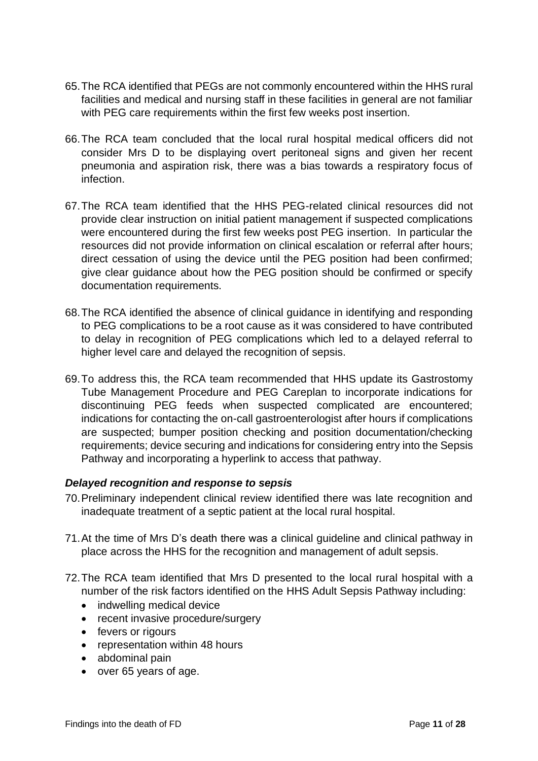- 65.The RCA identified that PEGs are not commonly encountered within the HHS rural facilities and medical and nursing staff in these facilities in general are not familiar with PEG care requirements within the first few weeks post insertion.
- 66.The RCA team concluded that the local rural hospital medical officers did not consider Mrs D to be displaying overt peritoneal signs and given her recent pneumonia and aspiration risk, there was a bias towards a respiratory focus of infection.
- 67.The RCA team identified that the HHS PEG-related clinical resources did not provide clear instruction on initial patient management if suspected complications were encountered during the first few weeks post PEG insertion. In particular the resources did not provide information on clinical escalation or referral after hours; direct cessation of using the device until the PEG position had been confirmed; give clear guidance about how the PEG position should be confirmed or specify documentation requirements.
- 68.The RCA identified the absence of clinical guidance in identifying and responding to PEG complications to be a root cause as it was considered to have contributed to delay in recognition of PEG complications which led to a delayed referral to higher level care and delayed the recognition of sepsis.
- 69.To address this, the RCA team recommended that HHS update its Gastrostomy Tube Management Procedure and PEG Careplan to incorporate indications for discontinuing PEG feeds when suspected complicated are encountered; indications for contacting the on-call gastroenterologist after hours if complications are suspected; bumper position checking and position documentation/checking requirements; device securing and indications for considering entry into the Sepsis Pathway and incorporating a hyperlink to access that pathway.

#### <span id="page-12-0"></span>*Delayed recognition and response to sepsis*

- 70.Preliminary independent clinical review identified there was late recognition and inadequate treatment of a septic patient at the local rural hospital.
- 71.At the time of Mrs D's death there was a clinical guideline and clinical pathway in place across the HHS for the recognition and management of adult sepsis.
- 72.The RCA team identified that Mrs D presented to the local rural hospital with a number of the risk factors identified on the HHS Adult Sepsis Pathway including:
	- indwelling medical device
	- recent invasive procedure/surgery
	- fevers or rigours
	- representation within 48 hours
	- abdominal pain
	- over 65 years of age.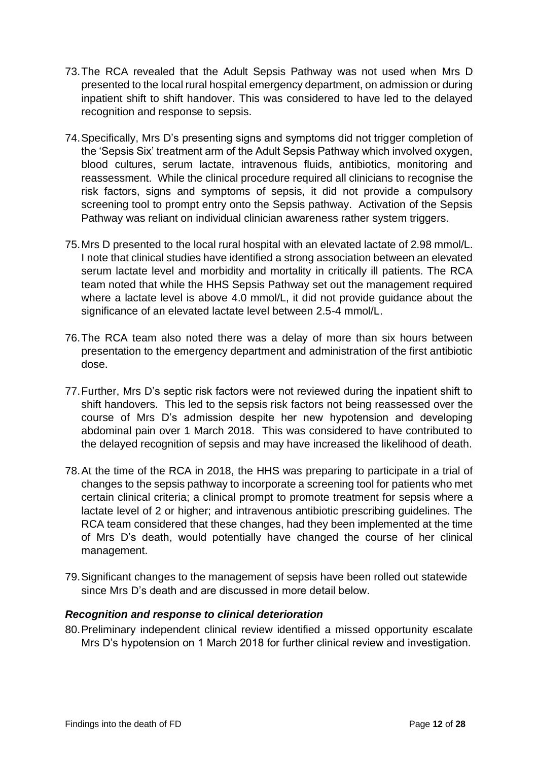- 73.The RCA revealed that the Adult Sepsis Pathway was not used when Mrs D presented to the local rural hospital emergency department, on admission or during inpatient shift to shift handover. This was considered to have led to the delayed recognition and response to sepsis.
- 74.Specifically, Mrs D's presenting signs and symptoms did not trigger completion of the 'Sepsis Six' treatment arm of the Adult Sepsis Pathway which involved oxygen, blood cultures, serum lactate, intravenous fluids, antibiotics, monitoring and reassessment. While the clinical procedure required all clinicians to recognise the risk factors, signs and symptoms of sepsis, it did not provide a compulsory screening tool to prompt entry onto the Sepsis pathway. Activation of the Sepsis Pathway was reliant on individual clinician awareness rather system triggers.
- 75.Mrs D presented to the local rural hospital with an elevated lactate of 2.98 mmol/L. I note that clinical studies have identified a strong association between an elevated serum lactate level and morbidity and mortality in critically ill patients. The RCA team noted that while the HHS Sepsis Pathway set out the management required where a lactate level is above 4.0 mmol/L, it did not provide guidance about the significance of an elevated lactate level between 2.5-4 mmol/L.
- 76.The RCA team also noted there was a delay of more than six hours between presentation to the emergency department and administration of the first antibiotic dose.
- 77.Further, Mrs D's septic risk factors were not reviewed during the inpatient shift to shift handovers. This led to the sepsis risk factors not being reassessed over the course of Mrs D's admission despite her new hypotension and developing abdominal pain over 1 March 2018. This was considered to have contributed to the delayed recognition of sepsis and may have increased the likelihood of death.
- 78.At the time of the RCA in 2018, the HHS was preparing to participate in a trial of changes to the sepsis pathway to incorporate a screening tool for patients who met certain clinical criteria; a clinical prompt to promote treatment for sepsis where a lactate level of 2 or higher; and intravenous antibiotic prescribing guidelines. The RCA team considered that these changes, had they been implemented at the time of Mrs D's death, would potentially have changed the course of her clinical management.
- 79.Significant changes to the management of sepsis have been rolled out statewide since Mrs D's death and are discussed in more detail below.

#### <span id="page-13-0"></span>*Recognition and response to clinical deterioration*

80.Preliminary independent clinical review identified a missed opportunity escalate Mrs D's hypotension on 1 March 2018 for further clinical review and investigation.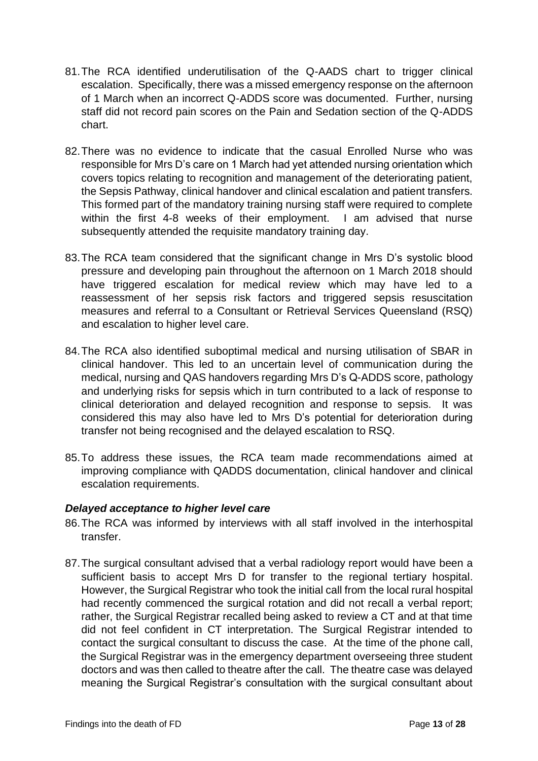- 81.The RCA identified underutilisation of the Q-AADS chart to trigger clinical escalation. Specifically, there was a missed emergency response on the afternoon of 1 March when an incorrect Q-ADDS score was documented. Further, nursing staff did not record pain scores on the Pain and Sedation section of the Q-ADDS chart.
- 82.There was no evidence to indicate that the casual Enrolled Nurse who was responsible for Mrs D's care on 1 March had yet attended nursing orientation which covers topics relating to recognition and management of the deteriorating patient, the Sepsis Pathway, clinical handover and clinical escalation and patient transfers. This formed part of the mandatory training nursing staff were required to complete within the first 4-8 weeks of their employment. I am advised that nurse subsequently attended the requisite mandatory training day.
- 83.The RCA team considered that the significant change in Mrs D's systolic blood pressure and developing pain throughout the afternoon on 1 March 2018 should have triggered escalation for medical review which may have led to a reassessment of her sepsis risk factors and triggered sepsis resuscitation measures and referral to a Consultant or Retrieval Services Queensland (RSQ) and escalation to higher level care.
- 84.The RCA also identified suboptimal medical and nursing utilisation of SBAR in clinical handover. This led to an uncertain level of communication during the medical, nursing and QAS handovers regarding Mrs D's Q-ADDS score, pathology and underlying risks for sepsis which in turn contributed to a lack of response to clinical deterioration and delayed recognition and response to sepsis. It was considered this may also have led to Mrs D's potential for deterioration during transfer not being recognised and the delayed escalation to RSQ.
- 85.To address these issues, the RCA team made recommendations aimed at improving compliance with QADDS documentation, clinical handover and clinical escalation requirements.

#### <span id="page-14-0"></span>*Delayed acceptance to higher level care*

- 86.The RCA was informed by interviews with all staff involved in the interhospital transfer.
- 87.The surgical consultant advised that a verbal radiology report would have been a sufficient basis to accept Mrs D for transfer to the regional tertiary hospital. However, the Surgical Registrar who took the initial call from the local rural hospital had recently commenced the surgical rotation and did not recall a verbal report; rather, the Surgical Registrar recalled being asked to review a CT and at that time did not feel confident in CT interpretation. The Surgical Registrar intended to contact the surgical consultant to discuss the case. At the time of the phone call, the Surgical Registrar was in the emergency department overseeing three student doctors and was then called to theatre after the call. The theatre case was delayed meaning the Surgical Registrar's consultation with the surgical consultant about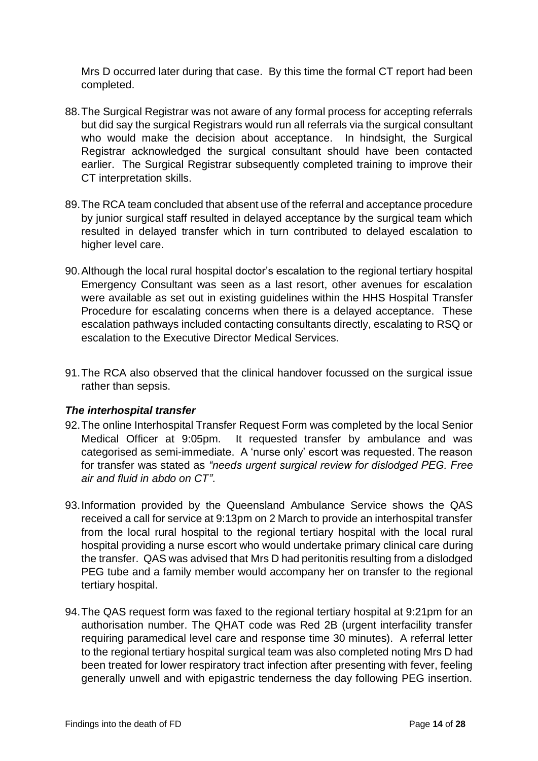Mrs D occurred later during that case. By this time the formal CT report had been completed.

- 88.The Surgical Registrar was not aware of any formal process for accepting referrals but did say the surgical Registrars would run all referrals via the surgical consultant who would make the decision about acceptance. In hindsight, the Surgical Registrar acknowledged the surgical consultant should have been contacted earlier. The Surgical Registrar subsequently completed training to improve their CT interpretation skills.
- 89.The RCA team concluded that absent use of the referral and acceptance procedure by junior surgical staff resulted in delayed acceptance by the surgical team which resulted in delayed transfer which in turn contributed to delayed escalation to higher level care.
- 90.Although the local rural hospital doctor's escalation to the regional tertiary hospital Emergency Consultant was seen as a last resort, other avenues for escalation were available as set out in existing guidelines within the HHS Hospital Transfer Procedure for escalating concerns when there is a delayed acceptance. These escalation pathways included contacting consultants directly, escalating to RSQ or escalation to the Executive Director Medical Services.
- 91.The RCA also observed that the clinical handover focussed on the surgical issue rather than sepsis.

#### <span id="page-15-0"></span>*The interhospital transfer*

- 92.The online Interhospital Transfer Request Form was completed by the local Senior Medical Officer at 9:05pm. It requested transfer by ambulance and was categorised as semi-immediate. A 'nurse only' escort was requested. The reason for transfer was stated as *"needs urgent surgical review for dislodged PEG. Free air and fluid in abdo on CT"*.
- 93.Information provided by the Queensland Ambulance Service shows the QAS received a call for service at 9:13pm on 2 March to provide an interhospital transfer from the local rural hospital to the regional tertiary hospital with the local rural hospital providing a nurse escort who would undertake primary clinical care during the transfer. QAS was advised that Mrs D had peritonitis resulting from a dislodged PEG tube and a family member would accompany her on transfer to the regional tertiary hospital.
- 94.The QAS request form was faxed to the regional tertiary hospital at 9:21pm for an authorisation number. The QHAT code was Red 2B (urgent interfacility transfer requiring paramedical level care and response time 30 minutes). A referral letter to the regional tertiary hospital surgical team was also completed noting Mrs D had been treated for lower respiratory tract infection after presenting with fever, feeling generally unwell and with epigastric tenderness the day following PEG insertion.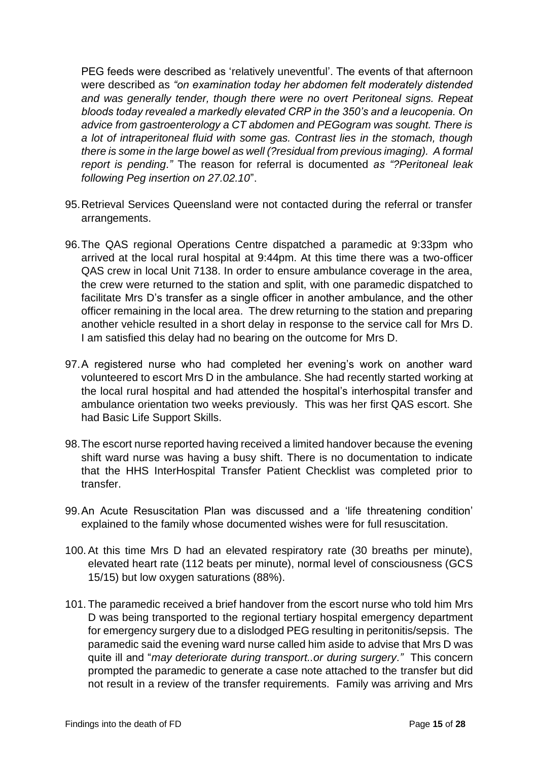PEG feeds were described as 'relatively uneventful'. The events of that afternoon were described as *"on examination today her abdomen felt moderately distended and was generally tender, though there were no overt Peritoneal signs. Repeat bloods today revealed a markedly elevated CRP in the 350's and a leucopenia. On advice from gastroenterology a CT abdomen and PEGogram was sought. There is a lot of intraperitoneal fluid with some gas. Contrast lies in the stomach, though there is some in the large bowel as well (?residual from previous imaging). A formal report is pending."* The reason for referral is documented *as "?Peritoneal leak following Peg insertion on 27.02.10*".

- 95.Retrieval Services Queensland were not contacted during the referral or transfer arrangements.
- 96.The QAS regional Operations Centre dispatched a paramedic at 9:33pm who arrived at the local rural hospital at 9:44pm. At this time there was a two-officer QAS crew in local Unit 7138. In order to ensure ambulance coverage in the area, the crew were returned to the station and split, with one paramedic dispatched to facilitate Mrs D's transfer as a single officer in another ambulance, and the other officer remaining in the local area. The drew returning to the station and preparing another vehicle resulted in a short delay in response to the service call for Mrs D. I am satisfied this delay had no bearing on the outcome for Mrs D.
- 97.A registered nurse who had completed her evening's work on another ward volunteered to escort Mrs D in the ambulance. She had recently started working at the local rural hospital and had attended the hospital's interhospital transfer and ambulance orientation two weeks previously. This was her first QAS escort. She had Basic Life Support Skills.
- 98.The escort nurse reported having received a limited handover because the evening shift ward nurse was having a busy shift. There is no documentation to indicate that the HHS InterHospital Transfer Patient Checklist was completed prior to transfer.
- 99.An Acute Resuscitation Plan was discussed and a 'life threatening condition' explained to the family whose documented wishes were for full resuscitation.
- 100.At this time Mrs D had an elevated respiratory rate (30 breaths per minute), elevated heart rate (112 beats per minute), normal level of consciousness (GCS 15/15) but low oxygen saturations (88%).
- 101. The paramedic received a brief handover from the escort nurse who told him Mrs D was being transported to the regional tertiary hospital emergency department for emergency surgery due to a dislodged PEG resulting in peritonitis/sepsis. The paramedic said the evening ward nurse called him aside to advise that Mrs D was quite ill and "*may deteriorate during transport..or during surgery."* This concern prompted the paramedic to generate a case note attached to the transfer but did not result in a review of the transfer requirements. Family was arriving and Mrs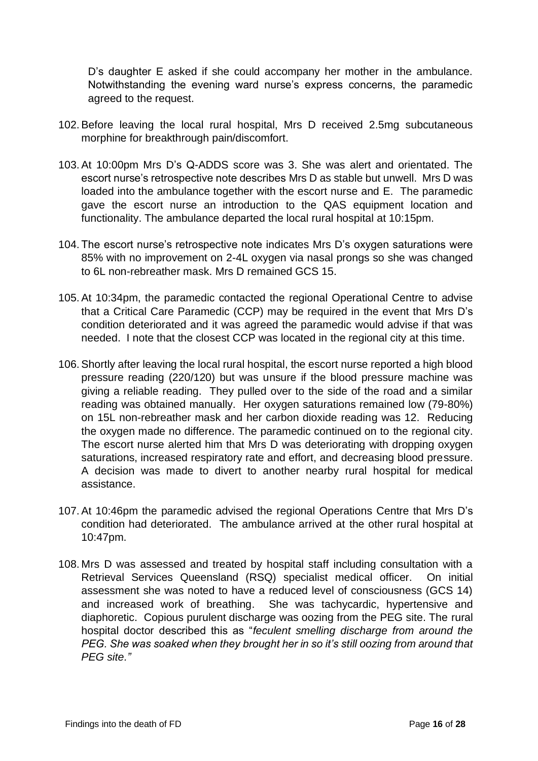D's daughter E asked if she could accompany her mother in the ambulance. Notwithstanding the evening ward nurse's express concerns, the paramedic agreed to the request.

- 102.Before leaving the local rural hospital, Mrs D received 2.5mg subcutaneous morphine for breakthrough pain/discomfort.
- 103.At 10:00pm Mrs D's Q-ADDS score was 3. She was alert and orientated. The escort nurse's retrospective note describes Mrs D as stable but unwell. Mrs D was loaded into the ambulance together with the escort nurse and E. The paramedic gave the escort nurse an introduction to the QAS equipment location and functionality. The ambulance departed the local rural hospital at 10:15pm.
- 104. The escort nurse's retrospective note indicates Mrs D's oxygen saturations were 85% with no improvement on 2-4L oxygen via nasal prongs so she was changed to 6L non-rebreather mask. Mrs D remained GCS 15.
- 105.At 10:34pm, the paramedic contacted the regional Operational Centre to advise that a Critical Care Paramedic (CCP) may be required in the event that Mrs D's condition deteriorated and it was agreed the paramedic would advise if that was needed. I note that the closest CCP was located in the regional city at this time.
- 106.Shortly after leaving the local rural hospital, the escort nurse reported a high blood pressure reading (220/120) but was unsure if the blood pressure machine was giving a reliable reading. They pulled over to the side of the road and a similar reading was obtained manually. Her oxygen saturations remained low (79-80%) on 15L non-rebreather mask and her carbon dioxide reading was 12. Reducing the oxygen made no difference. The paramedic continued on to the regional city. The escort nurse alerted him that Mrs D was deteriorating with dropping oxygen saturations, increased respiratory rate and effort, and decreasing blood pressure. A decision was made to divert to another nearby rural hospital for medical assistance.
- 107.At 10:46pm the paramedic advised the regional Operations Centre that Mrs D's condition had deteriorated. The ambulance arrived at the other rural hospital at 10:47pm.
- 108. Mrs D was assessed and treated by hospital staff including consultation with a Retrieval Services Queensland (RSQ) specialist medical officer. On initial assessment she was noted to have a reduced level of consciousness (GCS 14) and increased work of breathing. She was tachycardic, hypertensive and diaphoretic. Copious purulent discharge was oozing from the PEG site. The rural hospital doctor described this as "*feculent smelling discharge from around the PEG. She was soaked when they brought her in so it's still oozing from around that PEG site."*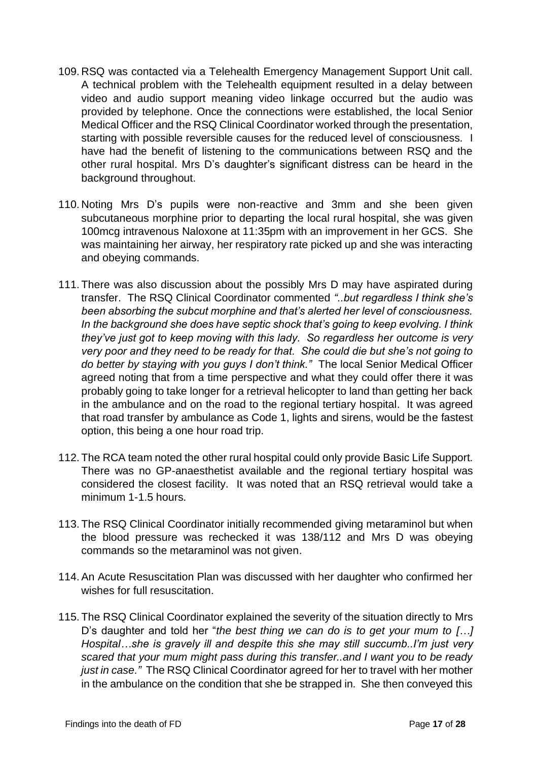- 109. RSQ was contacted via a Telehealth Emergency Management Support Unit call. A technical problem with the Telehealth equipment resulted in a delay between video and audio support meaning video linkage occurred but the audio was provided by telephone. Once the connections were established, the local Senior Medical Officer and the RSQ Clinical Coordinator worked through the presentation, starting with possible reversible causes for the reduced level of consciousness. I have had the benefit of listening to the communications between RSQ and the other rural hospital. Mrs D's daughter's significant distress can be heard in the background throughout.
- 110. Noting Mrs D's pupils were non-reactive and 3mm and she been given subcutaneous morphine prior to departing the local rural hospital, she was given 100mcg intravenous Naloxone at 11:35pm with an improvement in her GCS. She was maintaining her airway, her respiratory rate picked up and she was interacting and obeying commands.
- 111. There was also discussion about the possibly Mrs D may have aspirated during transfer. The RSQ Clinical Coordinator commented *"..but regardless I think she's been absorbing the subcut morphine and that's alerted her level of consciousness. In the background she does have septic shock that's going to keep evolving. I think they've just got to keep moving with this lady. So regardless her outcome is very very poor and they need to be ready for that. She could die but she's not going to do better by staying with you guys I don't think."* The local Senior Medical Officer agreed noting that from a time perspective and what they could offer there it was probably going to take longer for a retrieval helicopter to land than getting her back in the ambulance and on the road to the regional tertiary hospital. It was agreed that road transfer by ambulance as Code 1, lights and sirens, would be the fastest option, this being a one hour road trip.
- 112. The RCA team noted the other rural hospital could only provide Basic Life Support. There was no GP-anaesthetist available and the regional tertiary hospital was considered the closest facility. It was noted that an RSQ retrieval would take a minimum 1-1.5 hours.
- 113. The RSQ Clinical Coordinator initially recommended giving metaraminol but when the blood pressure was rechecked it was 138/112 and Mrs D was obeying commands so the metaraminol was not given.
- 114.An Acute Resuscitation Plan was discussed with her daughter who confirmed her wishes for full resuscitation.
- 115. The RSQ Clinical Coordinator explained the severity of the situation directly to Mrs D's daughter and told her "*the best thing we can do is to get your mum to […] Hospital…she is gravely ill and despite this she may still succumb..I'm just very scared that your mum might pass during this transfer..and I want you to be ready just in case."* The RSQ Clinical Coordinator agreed for her to travel with her mother in the ambulance on the condition that she be strapped in. She then conveyed this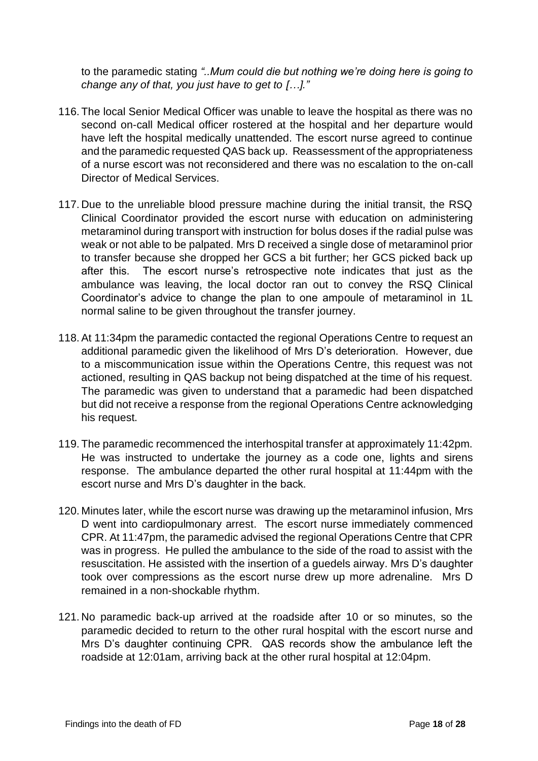to the paramedic stating *"..Mum could die but nothing we're doing here is going to change any of that, you just have to get to […]."*

- 116. The local Senior Medical Officer was unable to leave the hospital as there was no second on-call Medical officer rostered at the hospital and her departure would have left the hospital medically unattended. The escort nurse agreed to continue and the paramedic requested QAS back up. Reassessment of the appropriateness of a nurse escort was not reconsidered and there was no escalation to the on-call Director of Medical Services.
- 117. Due to the unreliable blood pressure machine during the initial transit, the RSQ Clinical Coordinator provided the escort nurse with education on administering metaraminol during transport with instruction for bolus doses if the radial pulse was weak or not able to be palpated. Mrs D received a single dose of metaraminol prior to transfer because she dropped her GCS a bit further; her GCS picked back up after this. The escort nurse's retrospective note indicates that just as the ambulance was leaving, the local doctor ran out to convey the RSQ Clinical Coordinator's advice to change the plan to one ampoule of metaraminol in 1L normal saline to be given throughout the transfer journey.
- 118.At 11:34pm the paramedic contacted the regional Operations Centre to request an additional paramedic given the likelihood of Mrs D's deterioration. However, due to a miscommunication issue within the Operations Centre, this request was not actioned, resulting in QAS backup not being dispatched at the time of his request. The paramedic was given to understand that a paramedic had been dispatched but did not receive a response from the regional Operations Centre acknowledging his request.
- 119. The paramedic recommenced the interhospital transfer at approximately 11:42pm. He was instructed to undertake the journey as a code one, lights and sirens response. The ambulance departed the other rural hospital at 11:44pm with the escort nurse and Mrs D's daughter in the back.
- 120. Minutes later, while the escort nurse was drawing up the metaraminol infusion, Mrs D went into cardiopulmonary arrest. The escort nurse immediately commenced CPR. At 11:47pm, the paramedic advised the regional Operations Centre that CPR was in progress. He pulled the ambulance to the side of the road to assist with the resuscitation. He assisted with the insertion of a guedels airway. Mrs D's daughter took over compressions as the escort nurse drew up more adrenaline. Mrs D remained in a non-shockable rhythm.
- 121. No paramedic back-up arrived at the roadside after 10 or so minutes, so the paramedic decided to return to the other rural hospital with the escort nurse and Mrs D's daughter continuing CPR. QAS records show the ambulance left the roadside at 12:01am, arriving back at the other rural hospital at 12:04pm.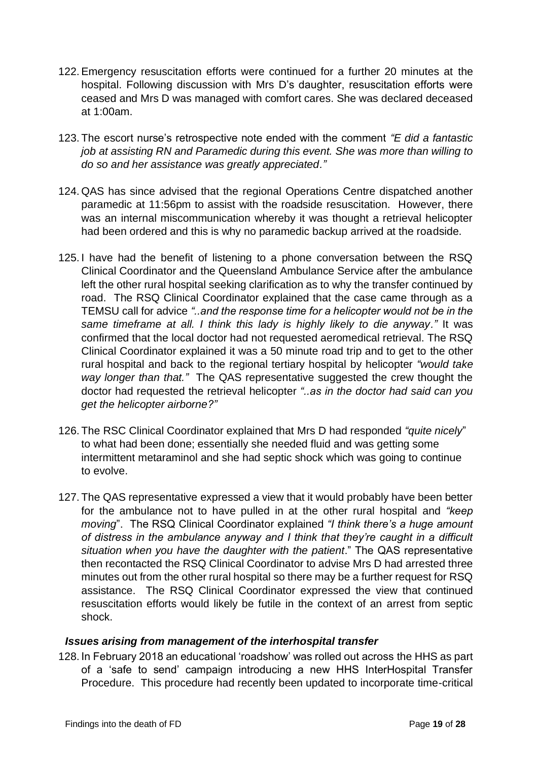- 122.Emergency resuscitation efforts were continued for a further 20 minutes at the hospital. Following discussion with Mrs D's daughter, resuscitation efforts were ceased and Mrs D was managed with comfort cares. She was declared deceased at 1:00am.
- 123. The escort nurse's retrospective note ended with the comment *"E did a fantastic job at assisting RN and Paramedic during this event. She was more than willing to do so and her assistance was greatly appreciated."*
- 124. QAS has since advised that the regional Operations Centre dispatched another paramedic at 11:56pm to assist with the roadside resuscitation. However, there was an internal miscommunication whereby it was thought a retrieval helicopter had been ordered and this is why no paramedic backup arrived at the roadside.
- 125. I have had the benefit of listening to a phone conversation between the RSQ Clinical Coordinator and the Queensland Ambulance Service after the ambulance left the other rural hospital seeking clarification as to why the transfer continued by road. The RSQ Clinical Coordinator explained that the case came through as a TEMSU call for advice *"..and the response time for a helicopter would not be in the same timeframe at all. I think this lady is highly likely to die anyway."* It was confirmed that the local doctor had not requested aeromedical retrieval. The RSQ Clinical Coordinator explained it was a 50 minute road trip and to get to the other rural hospital and back to the regional tertiary hospital by helicopter *"would take way longer than that."* The QAS representative suggested the crew thought the doctor had requested the retrieval helicopter *"..as in the doctor had said can you get the helicopter airborne?"*
- 126. The RSC Clinical Coordinator explained that Mrs D had responded *"quite nicely*" to what had been done; essentially she needed fluid and was getting some intermittent metaraminol and she had septic shock which was going to continue to evolve.
- 127. The QAS representative expressed a view that it would probably have been better for the ambulance not to have pulled in at the other rural hospital and *"keep moving*". The RSQ Clinical Coordinator explained *"I think there's a huge amount of distress in the ambulance anyway and I think that they're caught in a difficult situation when you have the daughter with the patient*." The QAS representative then recontacted the RSQ Clinical Coordinator to advise Mrs D had arrested three minutes out from the other rural hospital so there may be a further request for RSQ assistance. The RSQ Clinical Coordinator expressed the view that continued resuscitation efforts would likely be futile in the context of an arrest from septic shock.

#### <span id="page-20-0"></span>*Issues arising from management of the interhospital transfer*

128. In February 2018 an educational 'roadshow' was rolled out across the HHS as part of a 'safe to send' campaign introducing a new HHS InterHospital Transfer Procedure. This procedure had recently been updated to incorporate time-critical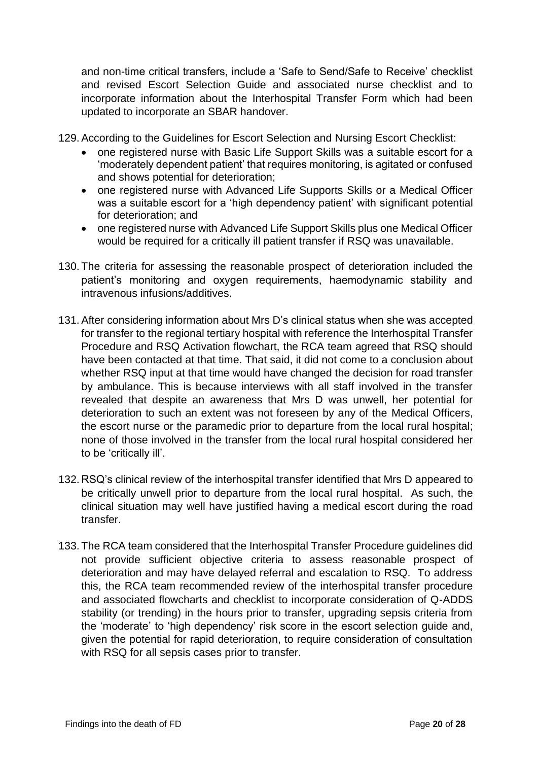and non-time critical transfers, include a 'Safe to Send/Safe to Receive' checklist and revised Escort Selection Guide and associated nurse checklist and to incorporate information about the Interhospital Transfer Form which had been updated to incorporate an SBAR handover.

129.According to the Guidelines for Escort Selection and Nursing Escort Checklist:

- one registered nurse with Basic Life Support Skills was a suitable escort for a 'moderately dependent patient' that requires monitoring, is agitated or confused and shows potential for deterioration;
- one registered nurse with Advanced Life Supports Skills or a Medical Officer was a suitable escort for a 'high dependency patient' with significant potential for deterioration; and
- one registered nurse with Advanced Life Support Skills plus one Medical Officer would be required for a critically ill patient transfer if RSQ was unavailable.
- 130. The criteria for assessing the reasonable prospect of deterioration included the patient's monitoring and oxygen requirements, haemodynamic stability and intravenous infusions/additives.
- 131.After considering information about Mrs D's clinical status when she was accepted for transfer to the regional tertiary hospital with reference the Interhospital Transfer Procedure and RSQ Activation flowchart, the RCA team agreed that RSQ should have been contacted at that time. That said, it did not come to a conclusion about whether RSQ input at that time would have changed the decision for road transfer by ambulance. This is because interviews with all staff involved in the transfer revealed that despite an awareness that Mrs D was unwell, her potential for deterioration to such an extent was not foreseen by any of the Medical Officers, the escort nurse or the paramedic prior to departure from the local rural hospital; none of those involved in the transfer from the local rural hospital considered her to be 'critically ill'.
- 132. RSQ's clinical review of the interhospital transfer identified that Mrs D appeared to be critically unwell prior to departure from the local rural hospital. As such, the clinical situation may well have justified having a medical escort during the road transfer.
- 133. The RCA team considered that the Interhospital Transfer Procedure guidelines did not provide sufficient objective criteria to assess reasonable prospect of deterioration and may have delayed referral and escalation to RSQ. To address this, the RCA team recommended review of the interhospital transfer procedure and associated flowcharts and checklist to incorporate consideration of Q-ADDS stability (or trending) in the hours prior to transfer, upgrading sepsis criteria from the 'moderate' to 'high dependency' risk score in the escort selection guide and, given the potential for rapid deterioration, to require consideration of consultation with RSQ for all sepsis cases prior to transfer.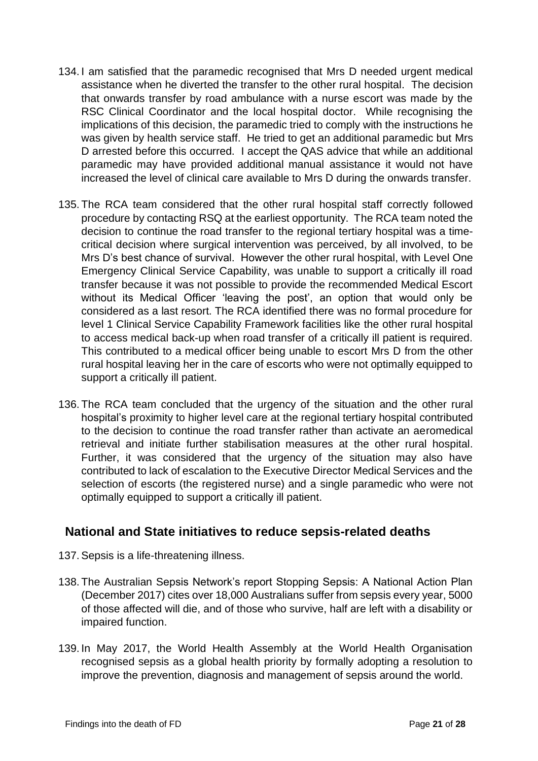- 134. I am satisfied that the paramedic recognised that Mrs D needed urgent medical assistance when he diverted the transfer to the other rural hospital. The decision that onwards transfer by road ambulance with a nurse escort was made by the RSC Clinical Coordinator and the local hospital doctor. While recognising the implications of this decision, the paramedic tried to comply with the instructions he was given by health service staff. He tried to get an additional paramedic but Mrs D arrested before this occurred. I accept the QAS advice that while an additional paramedic may have provided additional manual assistance it would not have increased the level of clinical care available to Mrs D during the onwards transfer.
- 135. The RCA team considered that the other rural hospital staff correctly followed procedure by contacting RSQ at the earliest opportunity. The RCA team noted the decision to continue the road transfer to the regional tertiary hospital was a timecritical decision where surgical intervention was perceived, by all involved, to be Mrs D's best chance of survival. However the other rural hospital, with Level One Emergency Clinical Service Capability, was unable to support a critically ill road transfer because it was not possible to provide the recommended Medical Escort without its Medical Officer 'leaving the post', an option that would only be considered as a last resort. The RCA identified there was no formal procedure for level 1 Clinical Service Capability Framework facilities like the other rural hospital to access medical back-up when road transfer of a critically ill patient is required. This contributed to a medical officer being unable to escort Mrs D from the other rural hospital leaving her in the care of escorts who were not optimally equipped to support a critically ill patient.
- 136. The RCA team concluded that the urgency of the situation and the other rural hospital's proximity to higher level care at the regional tertiary hospital contributed to the decision to continue the road transfer rather than activate an aeromedical retrieval and initiate further stabilisation measures at the other rural hospital. Further, it was considered that the urgency of the situation may also have contributed to lack of escalation to the Executive Director Medical Services and the selection of escorts (the registered nurse) and a single paramedic who were not optimally equipped to support a critically ill patient.

### <span id="page-22-0"></span>**National and State initiatives to reduce sepsis-related deaths**

- 137.Sepsis is a life-threatening illness.
- 138. The Australian Sepsis Network's report Stopping Sepsis: A National Action Plan (December 2017) cites over 18,000 Australians suffer from sepsis every year, 5000 of those affected will die, and of those who survive, half are left with a disability or impaired function.
- 139. In May 2017, the World Health Assembly at the World Health Organisation recognised sepsis as a global health priority by formally adopting a resolution to improve the prevention, diagnosis and management of sepsis around the world.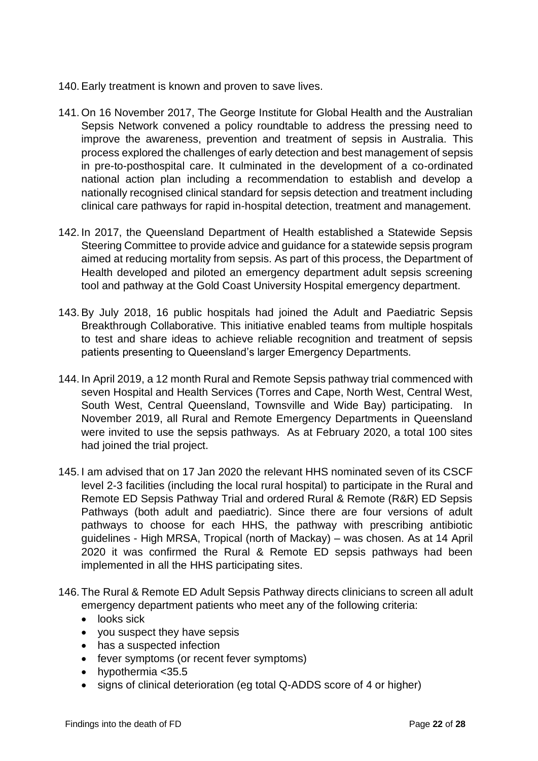- 140.Early treatment is known and proven to save lives.
- 141. On 16 November 2017, The George Institute for Global Health and the Australian Sepsis Network convened a policy roundtable to address the pressing need to improve the awareness, prevention and treatment of sepsis in Australia. This process explored the challenges of early detection and best management of sepsis in pre-to-posthospital care. It culminated in the development of a co-ordinated national action plan including a recommendation to establish and develop a nationally recognised clinical standard for sepsis detection and treatment including clinical care pathways for rapid in-hospital detection, treatment and management.
- 142. In 2017, the Queensland Department of Health established a Statewide Sepsis Steering Committee to provide advice and guidance for a statewide sepsis program aimed at reducing mortality from sepsis. As part of this process, the Department of Health developed and piloted an emergency department adult sepsis screening tool and pathway at the Gold Coast University Hospital emergency department.
- 143.By July 2018, 16 public hospitals had joined the Adult and Paediatric Sepsis Breakthrough Collaborative. This initiative enabled teams from multiple hospitals to test and share ideas to achieve reliable recognition and treatment of sepsis patients presenting to Queensland's larger Emergency Departments.
- 144. In April 2019, a 12 month Rural and Remote Sepsis pathway trial commenced with seven Hospital and Health Services (Torres and Cape, North West, Central West, South West, Central Queensland, Townsville and Wide Bay) participating. In November 2019, all Rural and Remote Emergency Departments in Queensland were invited to use the sepsis pathways. As at February 2020, a total 100 sites had joined the trial project.
- 145. I am advised that on 17 Jan 2020 the relevant HHS nominated seven of its CSCF level 2-3 facilities (including the local rural hospital) to participate in the Rural and Remote ED Sepsis Pathway Trial and ordered Rural & Remote (R&R) ED Sepsis Pathways (both adult and paediatric). Since there are four versions of adult pathways to choose for each HHS, the pathway with prescribing antibiotic guidelines - High MRSA, Tropical (north of Mackay) – was chosen. As at 14 April 2020 it was confirmed the Rural & Remote ED sepsis pathways had been implemented in all the HHS participating sites.
- 146. The Rural & Remote ED Adult Sepsis Pathway directs clinicians to screen all adult emergency department patients who meet any of the following criteria:
	- looks sick
	- you suspect they have sepsis
	- has a suspected infection
	- fever symptoms (or recent fever symptoms)
	- hypothermia <35.5
	- signs of clinical deterioration (eg total Q-ADDS score of 4 or higher)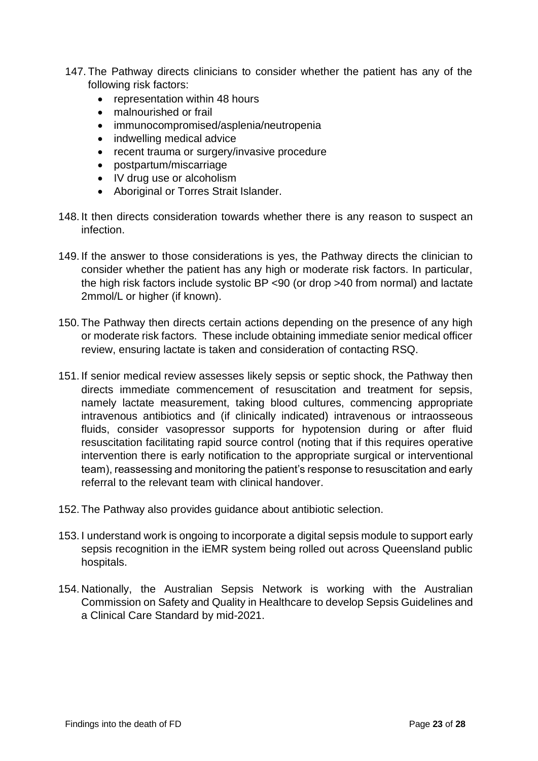- 147. The Pathway directs clinicians to consider whether the patient has any of the following risk factors:
	- representation within 48 hours
	- malnourished or frail
	- immunocompromised/asplenia/neutropenia
	- indwelling medical advice
	- recent trauma or surgery/invasive procedure
	- postpartum/miscarriage
	- IV drug use or alcoholism
	- Aboriginal or Torres Strait Islander.
- 148. It then directs consideration towards whether there is any reason to suspect an infection.
- 149. If the answer to those considerations is yes, the Pathway directs the clinician to consider whether the patient has any high or moderate risk factors. In particular, the high risk factors include systolic BP <90 (or drop >40 from normal) and lactate 2mmol/L or higher (if known).
- 150. The Pathway then directs certain actions depending on the presence of any high or moderate risk factors. These include obtaining immediate senior medical officer review, ensuring lactate is taken and consideration of contacting RSQ.
- 151. If senior medical review assesses likely sepsis or septic shock, the Pathway then directs immediate commencement of resuscitation and treatment for sepsis, namely lactate measurement, taking blood cultures, commencing appropriate intravenous antibiotics and (if clinically indicated) intravenous or intraosseous fluids, consider vasopressor supports for hypotension during or after fluid resuscitation facilitating rapid source control (noting that if this requires operative intervention there is early notification to the appropriate surgical or interventional team), reassessing and monitoring the patient's response to resuscitation and early referral to the relevant team with clinical handover.
- 152. The Pathway also provides guidance about antibiotic selection.
- 153. I understand work is ongoing to incorporate a digital sepsis module to support early sepsis recognition in the iEMR system being rolled out across Queensland public hospitals.
- 154. Nationally, the Australian Sepsis Network is working with the Australian Commission on Safety and Quality in Healthcare to develop Sepsis Guidelines and a Clinical Care Standard by mid-2021.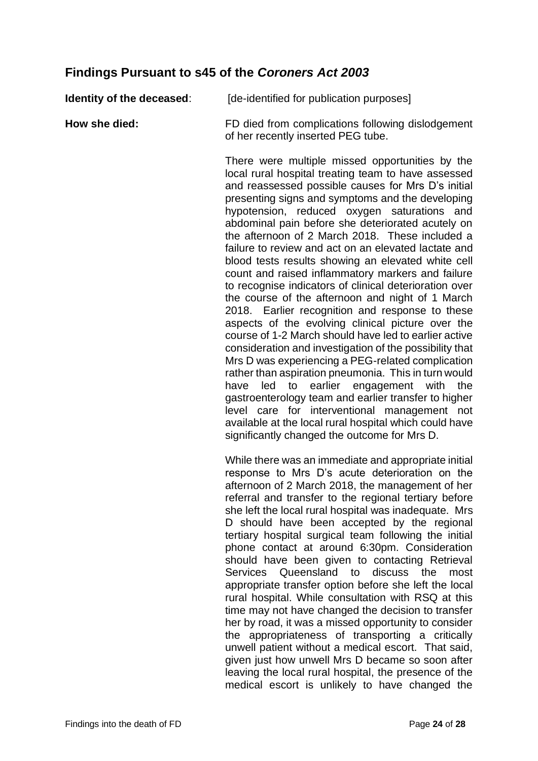## <span id="page-25-0"></span>**Findings Pursuant to s45 of the** *Coroners Act 2003*

| Identity of the deceased: | [de-identified for publication purposes]                                                                                                                                                                                                                                                                                                                                                                                                                                                                                                                                                                                                                                                                                                                                                                                                                                                                                                                                                                                                                                                                                                                                                                                                                                   |
|---------------------------|----------------------------------------------------------------------------------------------------------------------------------------------------------------------------------------------------------------------------------------------------------------------------------------------------------------------------------------------------------------------------------------------------------------------------------------------------------------------------------------------------------------------------------------------------------------------------------------------------------------------------------------------------------------------------------------------------------------------------------------------------------------------------------------------------------------------------------------------------------------------------------------------------------------------------------------------------------------------------------------------------------------------------------------------------------------------------------------------------------------------------------------------------------------------------------------------------------------------------------------------------------------------------|
| How she died:             | FD died from complications following dislodgement<br>of her recently inserted PEG tube.                                                                                                                                                                                                                                                                                                                                                                                                                                                                                                                                                                                                                                                                                                                                                                                                                                                                                                                                                                                                                                                                                                                                                                                    |
|                           | There were multiple missed opportunities by the<br>local rural hospital treating team to have assessed<br>and reassessed possible causes for Mrs D's initial<br>presenting signs and symptoms and the developing<br>hypotension, reduced oxygen saturations and<br>abdominal pain before she deteriorated acutely on<br>the afternoon of 2 March 2018. These included a<br>failure to review and act on an elevated lactate and<br>blood tests results showing an elevated white cell<br>count and raised inflammatory markers and failure<br>to recognise indicators of clinical deterioration over<br>the course of the afternoon and night of 1 March<br>2018. Earlier recognition and response to these<br>aspects of the evolving clinical picture over the<br>course of 1-2 March should have led to earlier active<br>consideration and investigation of the possibility that<br>Mrs D was experiencing a PEG-related complication<br>rather than aspiration pneumonia. This in turn would<br>to<br>earlier engagement with<br>the<br>have<br>led<br>gastroenterology team and earlier transfer to higher<br>level care for interventional management not<br>available at the local rural hospital which could have<br>significantly changed the outcome for Mrs D. |
|                           | While there was an immediate and appropriate initial<br>response to Mrs D's acute deterioration on the<br>afternoon of 2 March 2018, the management of her<br>referral and transfer to the regional tertiary before<br>she left the local rural hospital was inadequate. Mrs<br>D should have been accepted by the regional<br>tertiary hospital surgical team following the initial<br>phone contact at around 6:30pm. Consideration<br>should have been given to contacting Retrieval<br>Queensland to<br>Services<br>discuss<br>the<br>most<br>appropriate transfer option before she left the local<br>rural hospital. While consultation with RSQ at this<br>time may not have changed the decision to transfer                                                                                                                                                                                                                                                                                                                                                                                                                                                                                                                                                       |

her by road, it was a missed opportunity to consider the appropriateness of transporting a critically unwell patient without a medical escort. That said, given just how unwell Mrs D became so soon after leaving the local rural hospital, the presence of the medical escort is unlikely to have changed the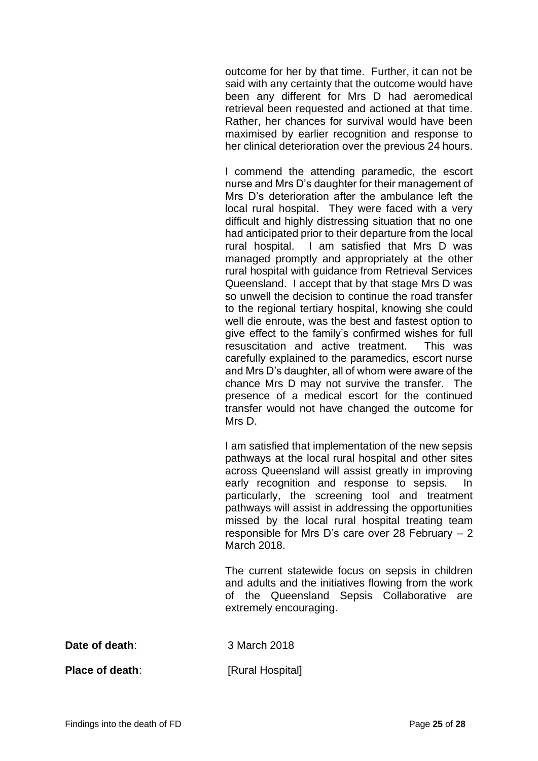outcome for her by that time. Further, it can not be said with any certainty that the outcome would have been any different for Mrs D had aeromedical retrieval been requested and actioned at that time. Rather, her chances for survival would have been maximised by earlier recognition and response to her clinical deterioration over the previous 24 hours.

I commend the attending paramedic, the escort nurse and Mrs D's daughter for their management of Mrs D's deterioration after the ambulance left the local rural hospital. They were faced with a very difficult and highly distressing situation that no one had anticipated prior to their departure from the local rural hospital. I am satisfied that Mrs D was managed promptly and appropriately at the other rural hospital with guidance from Retrieval Services Queensland. I accept that by that stage Mrs D was so unwell the decision to continue the road transfer to the regional tertiary hospital, knowing she could well die enroute, was the best and fastest option to give effect to the family's confirmed wishes for full resuscitation and active treatment. This was carefully explained to the paramedics, escort nurse and Mrs D's daughter, all of whom were aware of the chance Mrs D may not survive the transfer. The presence of a medical escort for the continued transfer would not have changed the outcome for Mrs D.

I am satisfied that implementation of the new sepsis pathways at the local rural hospital and other sites across Queensland will assist greatly in improving early recognition and response to sepsis. In particularly, the screening tool and treatment pathways will assist in addressing the opportunities missed by the local rural hospital treating team responsible for Mrs D's care over 28 February – 2 March 2018.

The current statewide focus on sepsis in children and adults and the initiatives flowing from the work of the Queensland Sepsis Collaborative are extremely encouraging.

**Date of death**: 3 March 2018

**Place of death:** [Rural Hospital]